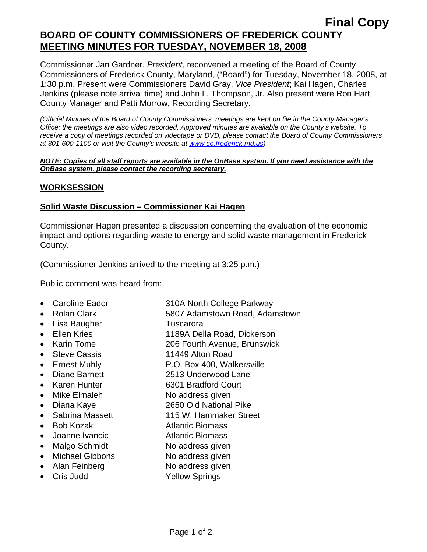# **Final Copy BOARD OF COUNTY COMMISSIONERS OF FREDERICK COUNTY MEETING MINUTES FOR TUESDAY, NOVEMBER 18, 2008**

Commissioner Jan Gardner, *President,* reconvened a meeting of the Board of County Commissioners of Frederick County, Maryland, ("Board") for Tuesday, November 18, 2008, at 1:30 p.m. Present were Commissioners David Gray, *Vice President*; Kai Hagen, Charles Jenkins (please note arrival time) and John L. Thompson, Jr. Also present were Ron Hart, County Manager and Patti Morrow, Recording Secretary.

*(Official Minutes of the Board of County Commissioners' meetings are kept on file in the County Manager's Office; the meetings are also video recorded. Approved minutes are available on the County's website. To receive a copy of meetings recorded on videotape or DVD, please contact the Board of County Commissioners at 301-600-1100 or visit the County's website at [www.co.frederick.md.us\)](http://www.co.frederick.md.us/)* 

#### *NOTE: Copies of all staff reports are available in the OnBase system. If you need assistance with the OnBase system, please contact the recording secretary.*

# **WORKSESSION**

# **Solid Waste Discussion – Commissioner Kai Hagen**

Commissioner Hagen presented a discussion concerning the evaluation of the economic impact and options regarding waste to energy and solid waste management in Frederick County.

(Commissioner Jenkins arrived to the meeting at 3:25 p.m.)

Public comment was heard from:

- Caroline Eador 310A North College Parkway
- Rolan Clark 5807 Adamstown Road, Adamstown
- Lisa Baugher Tuscarora
- Ellen Kries 1189A Della Road, Dickerson
- Karin Tome 206 Fourth Avenue, Brunswick
- Steve Cassis 11449 Alton Road
- Ernest Muhly P.O. Box 400, Walkersville
- Diane Barnett 2513 Underwood Lane
- Karen Hunter 6301 Bradford Court
- Mike Elmaleh No address given
- Diana Kaye 2650 Old National Pike
- Sabrina Massett 115 W. Hammaker Street
- Bob Kozak **Atlantic Biomass**
- Joanne Ivancic **Atlantic Biomass**
- Malgo Schmidt No address given
- Michael Gibbons No address given
- Alan Feinberg No address given
- Cris Judd Yellow Springs
	- Page 1 of 2